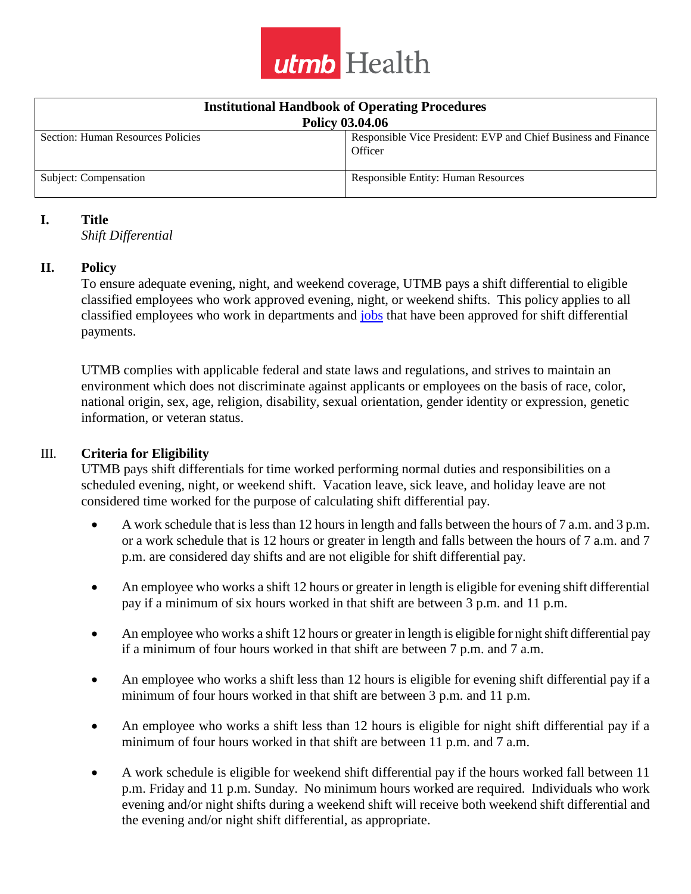

| <b>Institutional Handbook of Operating Procedures</b> |                                                                           |
|-------------------------------------------------------|---------------------------------------------------------------------------|
| <b>Policy 03.04.06</b>                                |                                                                           |
| Section: Human Resources Policies                     | Responsible Vice President: EVP and Chief Business and Finance<br>Officer |
| Subject: Compensation                                 | <b>Responsible Entity: Human Resources</b>                                |

#### **I. Title**

*Shift Differential*

#### **II. Policy**

To ensure adequate evening, night, and weekend coverage, UTMB pays a shift differential to eligible classified employees who work approved evening, night, or weekend shifts. This policy applies to all classified employees who work in departments and [jobs](https://hr.utmb.edu/comp/) that have been approved for shift differential payments.

UTMB complies with applicable federal and state laws and regulations, and strives to maintain an environment which does not discriminate against applicants or employees on the basis of race, color, national origin, sex, age, religion, disability, sexual orientation, gender identity or expression, genetic information, or veteran status.

#### III. **Criteria for Eligibility**

UTMB pays shift differentials for time worked performing normal duties and responsibilities on a scheduled evening, night, or weekend shift. Vacation leave, sick leave, and holiday leave are not considered time worked for the purpose of calculating shift differential pay.

- A work schedule that is less than 12 hours in length and falls between the hours of 7 a.m. and 3 p.m. or a work schedule that is 12 hours or greater in length and falls between the hours of 7 a.m. and 7 p.m. are considered day shifts and are not eligible for shift differential pay.
- An employee who works a shift 12 hours or greater in length is eligible for evening shift differential pay if a minimum of six hours worked in that shift are between 3 p.m. and 11 p.m.
- An employee who works a shift 12 hours or greater in length is eligible for night shift differential pay if a minimum of four hours worked in that shift are between 7 p.m. and 7 a.m.
- An employee who works a shift less than 12 hours is eligible for evening shift differential pay if a minimum of four hours worked in that shift are between 3 p.m. and 11 p.m.
- An employee who works a shift less than 12 hours is eligible for night shift differential pay if a minimum of four hours worked in that shift are between 11 p.m. and 7 a.m.
- A work schedule is eligible for weekend shift differential pay if the hours worked fall between 11 p.m. Friday and 11 p.m. Sunday. No minimum hours worked are required. Individuals who work evening and/or night shifts during a weekend shift will receive both weekend shift differential and the evening and/or night shift differential, as appropriate.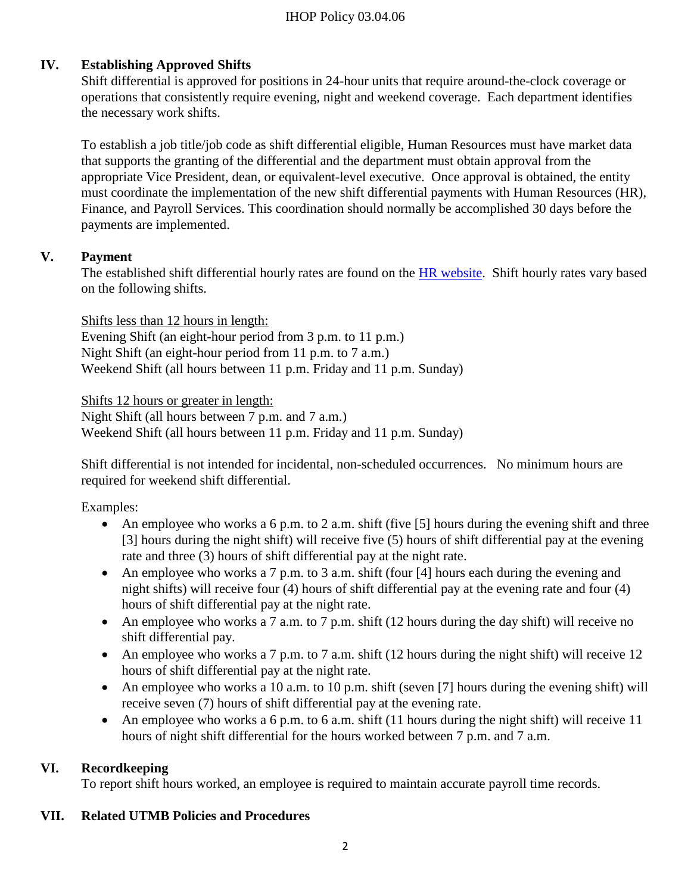#### IHOP Policy 03.04.06

# **IV. Establishing Approved Shifts**

Shift differential is approved for positions in 24-hour units that require around-the-clock coverage or operations that consistently require evening, night and weekend coverage. Each department identifies the necessary work shifts.

To establish a job title/job code as shift differential eligible, Human Resources must have market data that supports the granting of the differential and the department must obtain approval from the appropriate Vice President, dean, or equivalent-level executive. Once approval is obtained, the entity must coordinate the implementation of the new shift differential payments with Human Resources (HR), Finance, and Payroll Services. This coordination should normally be accomplished 30 days before the payments are implemented.

#### **V. Payment**

The established shift differential hourly rates are found on the [HR website.](https://hr.utmb.edu/comp/) Shift hourly rates vary based on the following shifts.

Shifts less than 12 hours in length: Evening Shift (an eight-hour period from 3 p.m. to 11 p.m.) Night Shift (an eight-hour period from 11 p.m. to 7 a.m.) Weekend Shift (all hours between 11 p.m. Friday and 11 p.m. Sunday)

Shifts 12 hours or greater in length:

Night Shift (all hours between 7 p.m. and 7 a.m.) Weekend Shift (all hours between 11 p.m. Friday and 11 p.m. Sunday)

Shift differential is not intended for incidental, non-scheduled occurrences. No minimum hours are required for weekend shift differential.

Examples:

- An employee who works a 6 p.m. to 2 a.m. shift (five  $[5]$  hours during the evening shift and three [3] hours during the night shift) will receive five (5) hours of shift differential pay at the evening rate and three (3) hours of shift differential pay at the night rate.
- An employee who works a 7 p.m. to 3 a.m. shift (four [4] hours each during the evening and night shifts) will receive four (4) hours of shift differential pay at the evening rate and four (4) hours of shift differential pay at the night rate.
- An employee who works a 7 a.m. to 7 p.m. shift (12 hours during the day shift) will receive no shift differential pay.
- An employee who works a 7 p.m. to 7 a.m. shift (12 hours during the night shift) will receive 12 hours of shift differential pay at the night rate.
- An employee who works a 10 a.m. to 10 p.m. shift (seven [7] hours during the evening shift) will receive seven (7) hours of shift differential pay at the evening rate.
- An employee who works a 6 p.m. to 6 a.m. shift  $(11)$  hours during the night shift) will receive 11 hours of night shift differential for the hours worked between 7 p.m. and 7 a.m.

## **VI. Recordkeeping**

To report shift hours worked, an employee is required to maintain accurate payroll time records.

## **VII. Related UTMB Policies and Procedures**